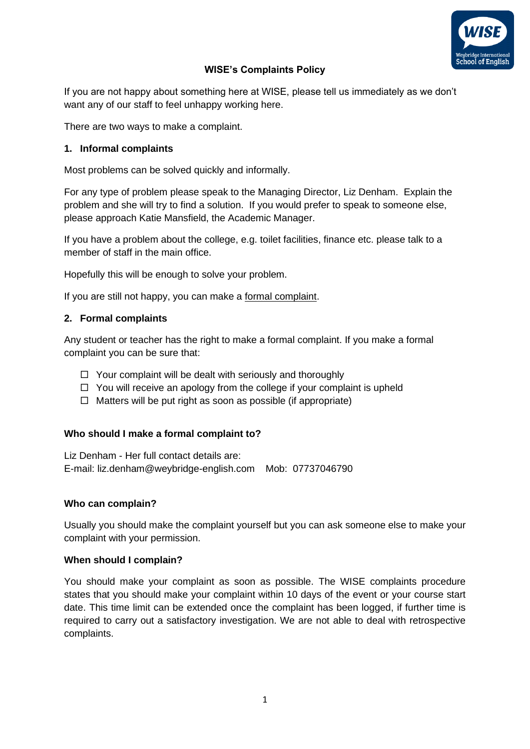

# **WISE's Complaints Policy**

If you are not happy about something here at WISE, please tell us immediately as we don't want any of our staff to feel unhappy working here.

There are two ways to make a complaint.

# **1. Informal complaints**

Most problems can be solved quickly and informally.

For any type of problem please speak to the Managing Director, Liz Denham. Explain the problem and she will try to find a solution. If you would prefer to speak to someone else, please approach Katie Mansfield, the Academic Manager.

If you have a problem about the college, e.g. toilet facilities, finance etc. please talk to a member of staff in the main office.

Hopefully this will be enough to solve your problem.

If you are still not happy, you can make a formal complaint.

## **2. Formal complaints**

Any student or teacher has the right to make a formal complaint. If you make a formal complaint you can be sure that:

- $\Box$  Your complaint will be dealt with seriously and thoroughly
- $\Box$  You will receive an apology from the college if your complaint is upheld
- $\Box$  Matters will be put right as soon as possible (if appropriate)

## **Who should I make a formal complaint to?**

Liz Denham - Her full contact details are: E-mail: liz.denham@weybridge-english.com Mob: 07737046790

## **Who can complain?**

Usually you should make the complaint yourself but you can ask someone else to make your complaint with your permission.

## **When should I complain?**

You should make your complaint as soon as possible. The WISE complaints procedure states that you should make your complaint within 10 days of the event or your course start date. This time limit can be extended once the complaint has been logged, if further time is required to carry out a satisfactory investigation. We are not able to deal with retrospective complaints.